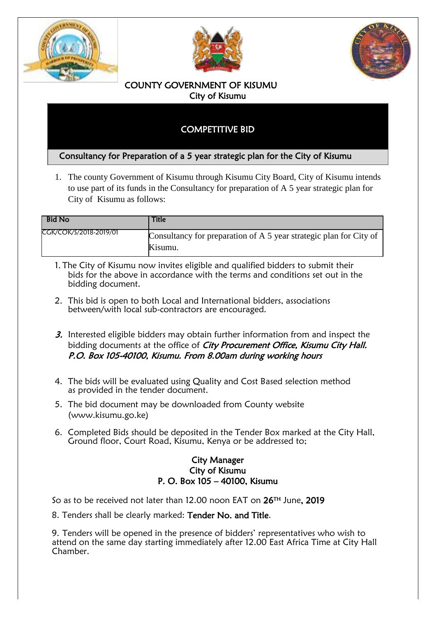





## COUNTY GOVERNMENT OF KISUMU City of Kisumu

## COMPETITIVE BID

## Consultancy for Preparation of a 5 year strategic plan for the City of Kisumu

1. The county Government of Kisumu through Kisumu City Board, City of Kisumu intends to use part of its funds in the Consultancy for preparation of A 5 year strategic plan for City of Kisumu as follows:

| <b>Bid No</b>          | Title                                                                         |
|------------------------|-------------------------------------------------------------------------------|
| CGK/COK/S/2018-2019/01 | Consultancy for preparation of A 5 year strategic plan for City of<br>Kisumu. |

- 1. The City of Kisumu now invites eligible and qualified bidders to submit their bids for the above in accordance with the terms and conditions set out in the bidding document.
- 2. This bid is open to both Local and International bidders, associations between/with local sub-contractors are encouraged.
- 3. Interested eligible bidders may obtain further information from and inspect the bidding documents at the office of City Procurement Office, Kisumu City Hall. P.O. Box 105-40100, Kisumu. From 8.00am during working hours
- 4. The bids will be evaluated using Quality and Cost Based selection method as provided in the tender document.
- 5. The bid document may be downloaded from County website (www.kisumu.go.ke)
- 6. Completed Bids should be deposited in the Tender Box marked at the City Hall, Ground floor, Court Road, Kisumu, Kenya or be addressed to;

## City Manager City of Kisumu P. O. Box 105 – 40100, Kisumu

So as to be received not later than 12.00 noon EAT on 26TH June, 2019

8. Tenders shall be clearly marked: Tender No. and Title.

9. Tenders will be opened in the presence of bidders' representatives who wish to attend on the same day starting immediately after 12.00 East Africa Time at City Hall Chamber.